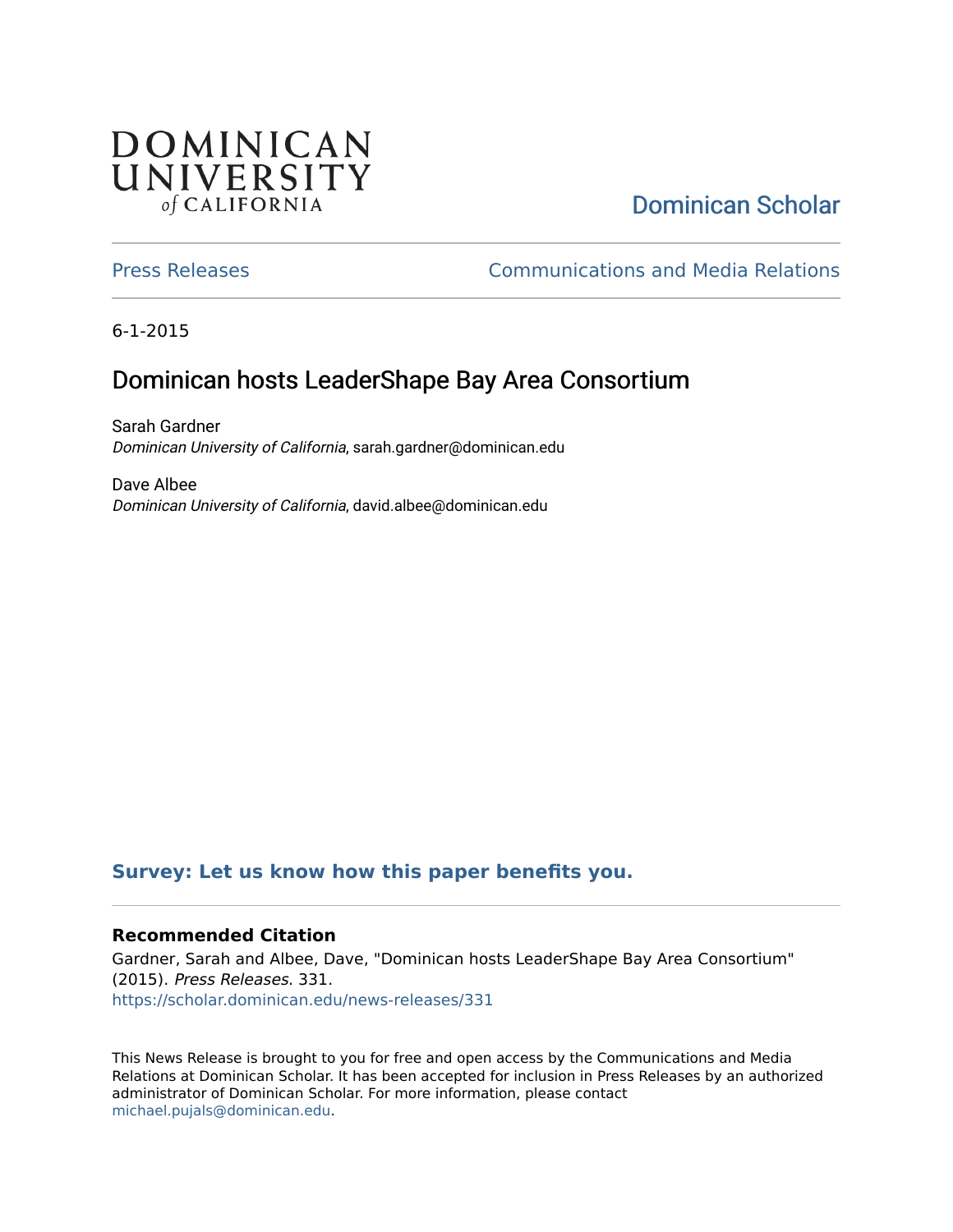## **DOMINICAN** UNIVERSITY of CALIFORNIA

# [Dominican Scholar](https://scholar.dominican.edu/)

[Press Releases](https://scholar.dominican.edu/news-releases) [Communications and Media Relations](https://scholar.dominican.edu/communications-media) 

6-1-2015

## Dominican hosts LeaderShape Bay Area Consortium

Sarah Gardner Dominican University of California, sarah.gardner@dominican.edu

Dave Albee Dominican University of California, david.albee@dominican.edu

#### **[Survey: Let us know how this paper benefits you.](https://dominican.libwizard.com/dominican-scholar-feedback)**

#### **Recommended Citation**

Gardner, Sarah and Albee, Dave, "Dominican hosts LeaderShape Bay Area Consortium" (2015). Press Releases. 331. [https://scholar.dominican.edu/news-releases/331](https://scholar.dominican.edu/news-releases/331?utm_source=scholar.dominican.edu%2Fnews-releases%2F331&utm_medium=PDF&utm_campaign=PDFCoverPages)

This News Release is brought to you for free and open access by the Communications and Media Relations at Dominican Scholar. It has been accepted for inclusion in Press Releases by an authorized administrator of Dominican Scholar. For more information, please contact [michael.pujals@dominican.edu.](mailto:michael.pujals@dominican.edu)